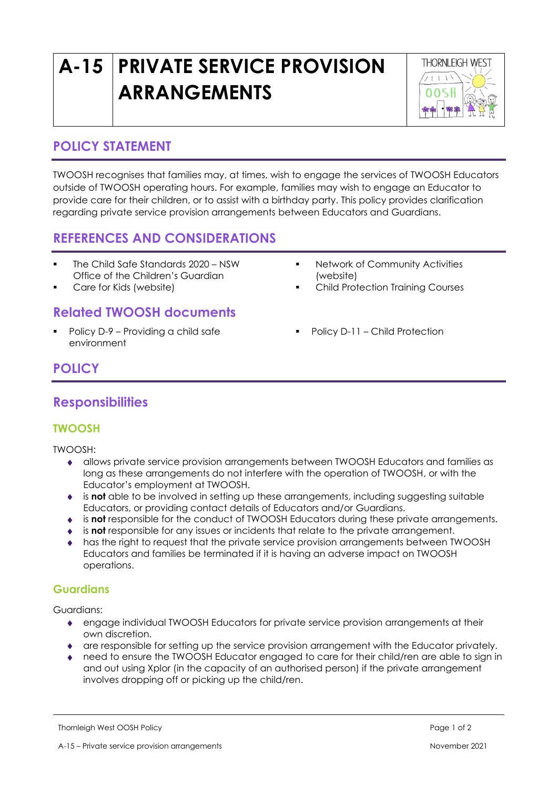# **A-15 PRIVATE SERVICE PROVISION ARRANGEMENTS**



## **POLICY STATEMENT**

TWOOSH recognises that families may, at times, wish to engage the services of TWOOSH Educators outside of TWOOSH operating hours. For example, families may wish to engage an Educator to provide care for their children, or to assist with a birthday party. This policy provides clarification regarding private service provision arrangements between Educators and Guardians.

# **REFERENCES AND CONSIDERATIONS**

- The Child Safe Standards 2020 NSW Office of the Children's Guardian
- Care for Kids (website)

## **Related TWOOSH documents**

■ Policy D-9 – Providing a child safe environment

- **■** Network of Community Activities (website)
- **Child Protection Training Courses**
- Policy D-11 Child Protection

# **POLICY**

### **Responsibilities**

#### **TWOOSH**

TWOOSH:

- allows private service provision arrangements between TWOOSH Educators and families as long as these arrangements do not interfere with the operation of TWOOSH, or with the Educator's employment at TWOOSH.
- is **not** able to be involved in setting up these arrangements, including suggesting suitable Educators, or providing contact details of Educators and/or Guardians.
- is **not** responsible for the conduct of TWOOSH Educators during these private arrangements.
- is **not** responsible for any issues or incidents that relate to the private arrangement.
- has the right to request that the private service provision arrangements between TWOOSH Educators and families be terminated if it is having an adverse impact on TWOOSH operations.

#### **Guardians**

Guardians:

- engage individual TWOOSH Educators for private service provision arrangements at their own discretion.
- are responsible for setting up the service provision arrangement with the Educator privately.
- need to ensure the TWOOSH Educator engaged to care for their child/ren are able to sign in and out using Xplor (in the capacity of an authorised person) if the private arrangement involves dropping off or picking up the child/ren.

Thornleigh West OOSH Policy Page 1 of 2